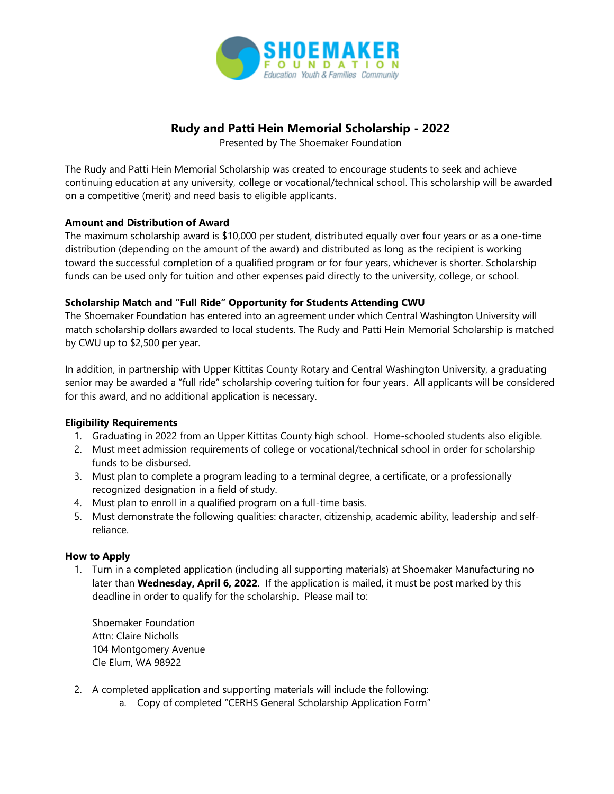

# **Rudy and Patti Hein Memorial Scholarship - 2022**

Presented by The Shoemaker Foundation

The Rudy and Patti Hein Memorial Scholarship was created to encourage students to seek and achieve continuing education at any university, college or vocational/technical school. This scholarship will be awarded on a competitive (merit) and need basis to eligible applicants.

# **Amount and Distribution of Award**

The maximum scholarship award is \$10,000 per student, distributed equally over four years or as a one-time distribution (depending on the amount of the award) and distributed as long as the recipient is working toward the successful completion of a qualified program or for four years, whichever is shorter. Scholarship funds can be used only for tuition and other expenses paid directly to the university, college, or school.

# **Scholarship Match and "Full Ride" Opportunity for Students Attending CWU**

The Shoemaker Foundation has entered into an agreement under which Central Washington University will match scholarship dollars awarded to local students. The Rudy and Patti Hein Memorial Scholarship is matched by CWU up to \$2,500 per year.

In addition, in partnership with Upper Kittitas County Rotary and Central Washington University, a graduating senior may be awarded a "full ride" scholarship covering tuition for four years. All applicants will be considered for this award, and no additional application is necessary.

### **Eligibility Requirements**

- 1. Graduating in 2022 from an Upper Kittitas County high school. Home-schooled students also eligible.
- 2. Must meet admission requirements of college or vocational/technical school in order for scholarship funds to be disbursed.
- 3. Must plan to complete a program leading to a terminal degree, a certificate, or a professionally recognized designation in a field of study.
- 4. Must plan to enroll in a qualified program on a full-time basis.
- 5. Must demonstrate the following qualities: character, citizenship, academic ability, leadership and selfreliance.

### **How to Apply**

1. Turn in a completed application (including all supporting materials) at Shoemaker Manufacturing no later than **Wednesday, April 6, 2022**. If the application is mailed, it must be post marked by this deadline in order to qualify for the scholarship. Please mail to:

Shoemaker Foundation Attn: Claire Nicholls 104 Montgomery Avenue Cle Elum, WA 98922

- 2. A completed application and supporting materials will include the following:
	- a. Copy of completed "CERHS General Scholarship Application Form"